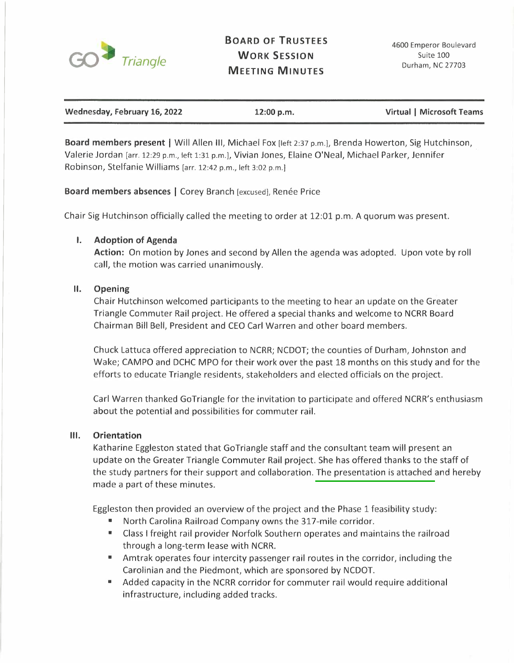

# **BOARD OF TRUSTEES WORK SESSION MEETING MINUTES**

| Wednesday, February 16, 2022 | 12:00 p.m. | Virtual   Microsoft Teams |
|------------------------------|------------|---------------------------|

**Board members present** I Will Allen 111, Michael Fox [left 2:37 p.m.), Brenda Howerton, Sig Hutchinson, Valerie Jordan [arr. 12:29 p.m., left 1:31 p.m.], Vivian Jones, Elaine O'Neal, Michael Parker, Jennifer Robinson, Stelfanie Williams [arr. 12:42 p.m., left 3:02 p.m.)

**Board members absences | Corey Branch [excused], Renée Price** 

Chair Sig Hutchinson officially called the meeting to order at 12:01 p.m. A quorum was present.

## **I. Adoption of Agenda**

**Action:** On motion by Jones and second by Allen the agenda was adopted. Upon vote by roll call, the motion was carried unanimously.

## **II. Opening**

Chair Hutchinson welcomed participants to the meeting to hear an update on the Greater Triangle Commuter Rail project. He offered a special thanks and welcome to NCRR Board Chairman Bill Bell, President and CEO Carl Warren and other board members.

Chuck Lattuca offered appreciation to NCRR; NCDOT; the counties of Durham, Johnston and Wake; CAMPO and DCHC MPO for their work over the past 18 months on this study and for the efforts to educate Triangle residents, stakeholders and elected officials on the project.

Carl Warren thanked GoTriangle for the invitation to participate and offered NCRR's enthusiasm about the potential and possibilities for commuter rail.

## **Ill. Orientation**

Katharine Eggleston stated that GoTriangle staff and the consultant team will present an update on the Greater Triangle Commuter Rail project. She has offered thanks to the staff of the study partners for their support and collaboration. The presentation is attached and hereby made a part of these minutes.

Eggleston then provided an overview of the project and the Phase 1 feasibility study:

- North Carolina Railroad Company owns the 317-mile corridor.
- Class I freight rail provider Norfolk Southern operates and maintains the railroad through a long-term lease with NCRR.
- Amtrak operates four intercity passenger rail routes in the corridor, including the Carolinian and the Piedmont, which are sponsored by NCDOT.
- Added capacity in the NCRR corridor for commuter rail would require additional infrastructure, including added tracks.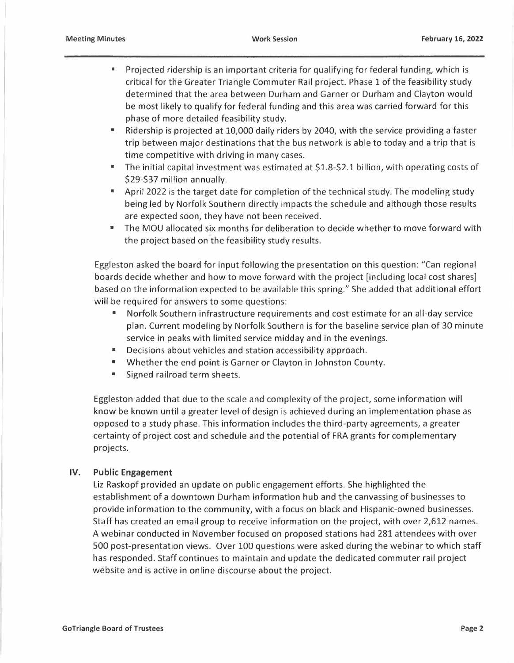- Projected ridership is an important criteria for qualifying for federal funding, which is critical for the Greater Triangle Commuter Rail project. Phase 1 of the feasibility study determined that the area between Durham and Garner or Durham and Clayton would be most likely to qualify for federal funding and this area was carried forward for this phase of more detailed feasibility study.
- Ridership is projected at 10,000 daily riders by 2040, with the service providing a faster trip between major destinations that the bus network is able to today and a trip that is time competitive with driving in many cases.
- The initial capital investment was estimated at \$1.8-\$2.1 billion, with operating costs of \$29-\$37 million annually.
- April 2022 is the target date for completion of the technical study. The modeling study being led by Norfolk Southern directly impacts the schedule and although those results are expected soon, they have not been received.
- The MOU allocated six months for deliberation to decide whether to move forward with the project based on the feasibility study results.

Eggleston asked the board for input following the presentation on this question: "Can regional boards decide whether and how to move forward with the project [including local cost shares] based on the information expected to be available this spring." She added that additional effort will be required for answers to some questions:

- Norfolk Southern infrastructure requirements and cost estimate for an all-day service plan. Current modeling by Norfolk Southern is for the baseline service plan of 30 minute service in peaks with limited service midday and in the evenings.
- Decisions about vehicles and station accessibility approach.
- Whether the end point is Garner or Clayton in Johnston County.
- **•** Signed railroad term sheets.

Eggleston added that due to the scale and complexity of the project, some information will know be known until a greater level of design is achieved during an implementation phase as opposed to a study phase. This information includes the third-party agreements, a greater certainty of project cost and schedule and the potential of FRA grants for complementary projects.

# **IV. Public Engagement**

Liz Raskopf provided an update on public engagement efforts. She highlighted the establishment of a downtown Durham information hub and the canvassing of businesses to provide information to the community, with a focus on black and Hispanic-owned businesses. Staff has created an email group to receive information on the project, with over 2,612 names. A webinar conducted in November focused on proposed stations had 281 attendees with over 500 post-presentation views. Over 100 questions were asked during the webinar to which staff has responded. Staff continues to maintain and update the dedicated commuter rail project website and is active in online discourse about the project.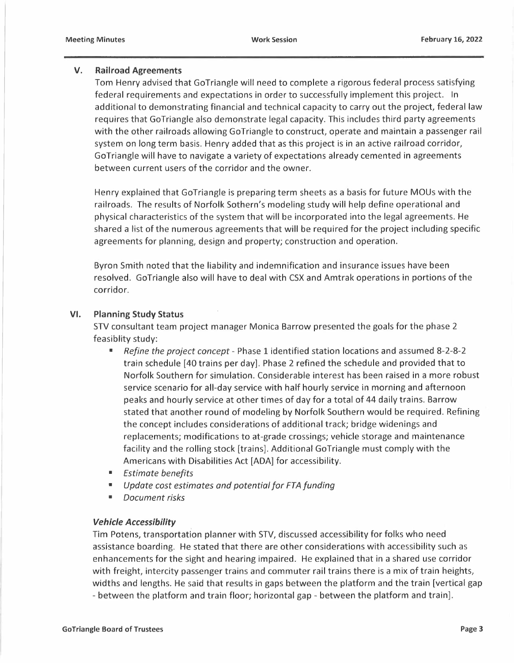#### **V. Railroad Agreements**

Tom Henry advised that GoTriangle will need to complete a rigorous federal process satisfying federal requirements and expectations in order to successfully implement this project. In additional to demonstrating financial and technical capacity to carry out the project, federal law requires that Go Triangle also demonstrate legal capacity. This includes third party agreements with the other railroads allowing GoTriangle to construct, operate and maintain a passenger rail system on long term basis. Henry added that as this project is in an active railroad corridor, Go Triangle will have to navigate a variety of expectations already cemented in agreements between current users of the corridor and the owner.

Henry explained that GoTriangle is preparing term sheets as a basis for future MOUs with the railroads. The results of Norfolk Sothern's modeling study will help define operational and physical characteristics of the system that will be incorporated into the legal agreements. He shared a list of the numerous agreements that will be required for the project including specific agreements for planning, design and property; construction and operation.

Byron Smith noted that the liability and indemnification and insurance issues have been resolved. GoTriangle also will have to deal with CSX and Amtrak operations in portions of the corridor.

#### **VI. Planning Study Status**

STV consultant team project manager Monica Barrow presented the goals for the phase 2 feasiblity study:

- *Refine the project concept* Phase 1 identified station locations and assumed 8-2-8-2 train schedule [40 trains per day]. Phase 2 refined the schedule and provided that to Norfolk Southern for simulation. Considerable interest has been raised in a more robust service scenario for all-day service with half hourly service in morning and afternoon peaks and hourly service at other times of day for a total of 44 daily trains. Barrow stated that another round of modeling by Norfolk Southern would be required. Refining the concept includes considerations of additional track; bridge widenings and replacements; modifications to at-grade crossings; vehicle storage and maintenance facility and the rolling stock [trains]. Additional GoTriangle must comply with the Americans with Disabilities Act [ADA] for accessibility.
- *Estimate benefits*
- *Update cost estimates and potential for FTA funding*
- *Document risks*

## *Vehicle Accessibility .*

Tim Potens, transportation planner with STV, discussed accessibility for folks who need assistance boarding. He stated that there are other considerations with accessibility such as enhancements for the sight and hearing impaired. He explained that in a shared use corridor with freight, intercity passenger trains and commuter rail trains there is a mix of train heights, widths and lengths. He said that results in gaps between the platform and the train [vertical gap - between the platform and train floor; horizontal gap - between the platform and train].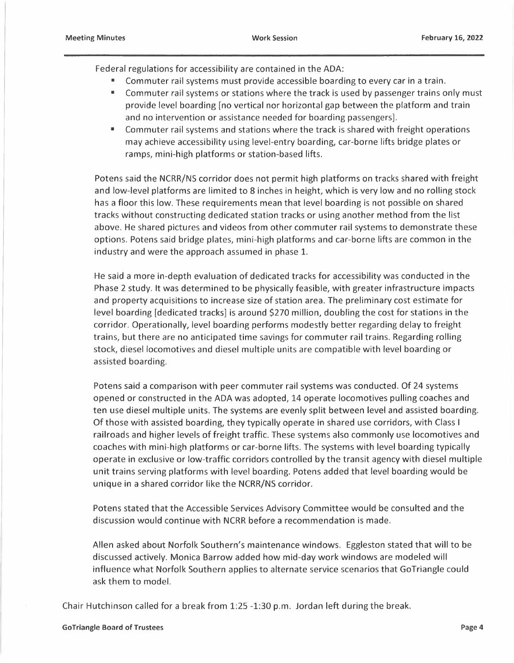Federal regulations for accessibility are contained in the ADA:

- Commuter rail systems must provide accessible boarding to every car in a train.
- Commuter rail systems or stations where the track is used by passenger trains only must provide level boarding [no vertical nor horizontal gap between the platform and train and no intervention or assistance needed for boarding passengers].
- Commuter rail systems and stations where the track is shared with freight operations may achieve accessibility using level-entry boarding, car-borne lifts bridge plates or ramps, mini-high platforms or station-based lifts.

Potens said the NCRR/NS corridor does not permit high platforms on tracks shared with freight and low-level platforms are limited to 8 inches in height, which is very low and no rolling stock has a floor this low. These requirements mean that level boarding is not possible on shared tracks without constructing dedicated station tracks or using another method from the list above. He shared pictures and videos from other commuter rail systems to demonstrate these options. Potens said bridge plates, mini-high platforms and car-borne lifts are common in the industry and were the approach assumed in phase 1.

He said a more in-depth evaluation of dedicated tracks for accessibility was conducted in the Phase 2 study. It was determined to be physically feasible, with greater infrastructure impacts and property acquisitions to increase size of station area. The preliminary cost estimate for level boarding [dedicated tracks] is around \$270 million, doubling the cost for stations in the corridor. Operationally, level boarding performs modestly better regarding delay to freight trains, but there are no anticipated time savings for commuter rail trains. Regarding rolling stock, diesel locomotives and diesel multiple units are compatible with level boarding or assisted boarding.

Potens said a comparison with peer commuter rail systems was conducted. Of 24 systems opened or constructed in the ADA was adopted, 14 operate locomotives pulling coaches and ten use diesel multiple units. The systems are evenly split between level and assisted boarding. Of those with assisted boarding, they typically operate in shared use corridors, with Class I railroads and higher levels of freight traffic. These systems also commonly use locomotives and coaches with mini-high platforms or car-borne lifts. The systems with level boarding typically operate in exclusive or low-traffic corridors controlled by the transit agency with diesel multiple unit trains serving platforms with level boarding. Potens added that level boarding would be unique in a shared corridor like the NCRR/NS corridor.

Potens stated that the Accessible Services Advisory Committee would be consulted and the discussion would continue with NCRR before a recommendation is made.

Allen asked about Norfolk Southern's maintenance windows. Eggleston stated that will to be discussed actively. Monica Barrow added how mid-day work windows are modeled will influence what Norfolk Southern applies to alternate service scenarios that GoTriangle could ask them to model.

Chair Hutchinson called for a break from 1:25 -1:30 p.m. Jordan left during the break.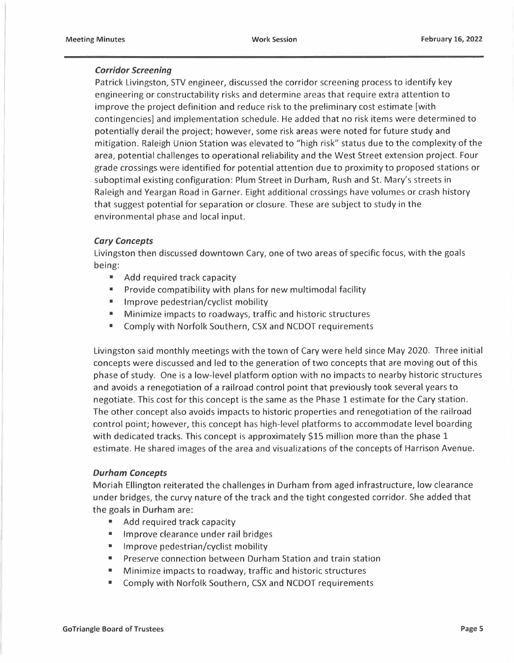## *Corridor Screening*

Patrick Livingston, STV engineer, discussed the corridor screening process to identify key engineering or constructability risks and determine areas that require extra attention to improve the project definition and reduce risk to the preliminary cost estimate [with contingencies] and implementation schedule. He added that no risk items were determined to potentially derail the project; however, some risk areas were noted for future study and mitigation. Raleigh Union Station was elevated to "high risk" status due to the complexity of the area, potential challenges to operational reliability and the West Street extension project. Four grade crossings were identified for potential attention due to proximity to proposed stations or suboptimal existing configuration: Plum Street in Durham, Rush and St. Mary's streets in Raleigh and Yeargan Road in Garner. Eight additional crossings have volumes or crash history that suggest potential for separation or closure. These are subject to study in the environmental phase and local input.

#### *Cary Concepts*

Livingston then discussed downtown Cary, one of two areas of specific focus, with the goals being:

- Add required track capacity
- Provide compatibility with plans for new multimodal facility
- Improve pedestrian/cyclist mobility
- Minimize impacts to roadways, traffic and historic structures
- Comply with Norfolk Southern, CSX and NCDOT requirements

Livingston said monthly meetings with the town of Cary were held since May 2020. Three initial concepts were discussed and led to the generation of two concepts that are moving out of this phase of study. One is a low-level platform option with no impacts to nearby historic structures and avoids a renegotiation of a railroad control point that previously took several years to negotiate. This cost for this concept is the same as the Phase 1 estimate for the Cary station. The other concept also avoids impacts to historic properties and renegotiation of the railroad control point; however, this concept has high-level platforms to accommodate level boarding with dedicated tracks. This concept is approximately \$15 million more than the phase 1 estimate. He shared images of the area and visualizations of the concepts of Harrison Avenue.

#### *Durham Concepts*

Moriah Ellington reiterated the challenges in Durham from aged infrastructure, low clearance under bridges, the curvy nature of the track and the tight congested corridor. She added that the goals in Durham are:

- Add required track capacity
- Improve clearance under rail bridges
- Improve pedestrian/cyclist mobility
- Preserve connection between Durham Station and train station
- Minimize impacts to roadway, traffic and historic structures
- Comply with Norfolk Southern, CSX and NCDOT requirements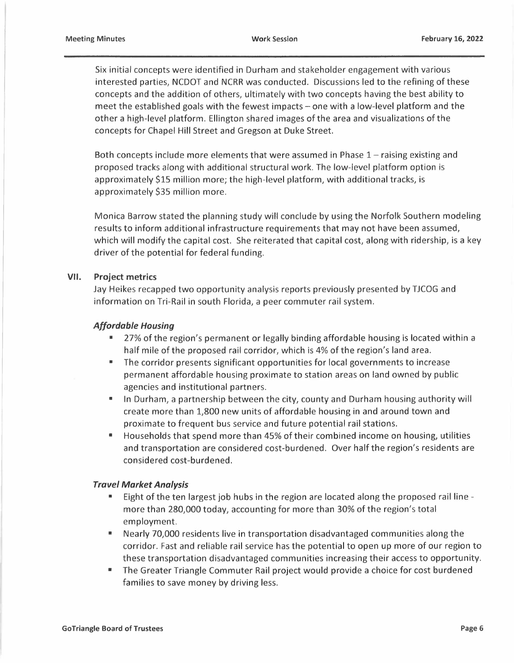Six initial concepts were identified in Durham and stakeholder engagement with various interested parties, NCDOT and NCRR was conducted. Discussions led to the refining of these concepts and the addition of others, ultimately with two concepts having the best ability to meet the established goals with the fewest impacts - one with a low-level platform and the other a high-level platform. Ellington shared images of the area and visualizations of the concepts for Chapel Hill Street and Gregson at Duke Street.

Both concepts include more elements that were assumed in Phase  $1$  – raising existing and proposed tracks along with additional structural work. The low-level platform option is approximately \$15 million more; the high-level platform, with additional tracks, is approximately \$35 million more.

Monica Barrow stated the planning study will conclude by using the Norfolk Southern modeling results to inform additional infrastructure requirements that may not have been assumed, which will modify the capital cost. She reiterated that capital cost, along with ridership, is a key driver of the potential for federal funding.

#### **VII. Project metrics**

Jay Heikes recapped two opportunity analysis reports previously presented by TJCOG and information on Tri-Rail in south Florida, a peer commuter rail system.

#### *A/fordable Housing*

- 27% of the region's permanent or legally binding affordable housing is located within a half mile of the proposed rail corridor, which is 4% of the region's land area.
- The corridor presents significant opportunities for local governments to increase permanent affordable housing proximate to station areas on land owned by public agencies and institutional partners.
- In Durham, a partnership between the city, county and Durham housing authority will create more than 1,800 new units of affordable housing in and around town and proximate to frequent bus service and future potential rail stations.
- Households that spend more than 45% of their combined income on housing, utilities and transportation are considered cost-burdened. Over half the region's residents are considered cost-burdened.

#### *Travel Market Analysis*

- Eight of the ten largest job hubs in the region are located along the proposed rail line more than 280,000 today, accounting for more than 30% of the region's total employment.
- Nearly 70,000 residents live in transportation disadvantaged communities along the corridor. Fast and reliable rail service has the potential to open up more of our region to these transportation disadvantaged communities increasing their access to opportunity.
- The Greater Triangle Commuter Rail project would provide a choice for cost burdened families to save money by driving less.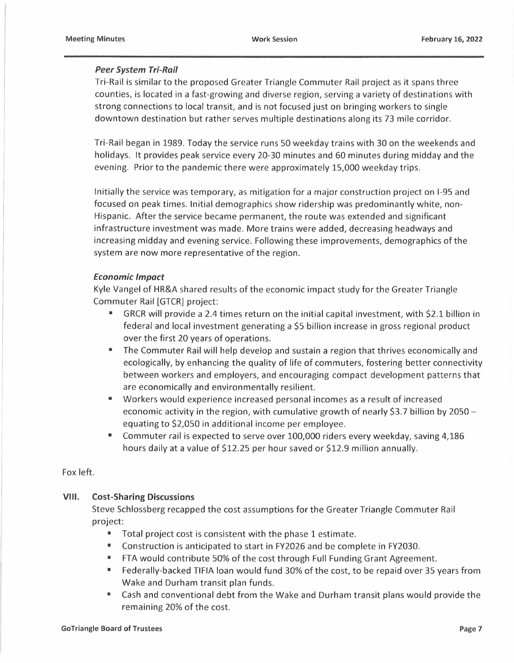## *Peer System Tri-Rail*

Tri-Rail is similar to the proposed Greater Triangle Commuter Rail project as it spans three counties, is located in a fast-growing and diverse region, serving a variety of destinations with strong connections to local transit, and is not focused just on bringing workers to single downtown destination but rather serves multiple destinations along its 73 mile corridor.

Tri-Rail began in 1989. Today the service runs 50 weekday trains with 30 on the weekends and holidays. It provides peak service every 20-30 minutes and 60 minutes during midday and the evening. Prior to the pandemic there were approximately 15,000 weekday trips.

Initially the service was temporary, as mitigation for a major construction project on 1-95 and focused on peak times. Initial demographics show ridership was predominantly white, non-Hispanic. After the service became permanent, the route was extended and significant infrastructure investment was made. More trains were added, decreasing headways and increasing midday and evening service. Following these improvements, demographics of the system are now more representative of the region.

## *Economic Impact*

Kyle Vangel of HR&A shared results of the economic impact study for the Greater Triangle Commuter Rail [GTCR] project:

- GRCR will provide a 2.4 times return on the initial capital investment, with \$2.1 billion in federal and local investment generating a \$5 billion increase in gross regional product over the first 20 years of operations.
- The Commuter Rail will help develop and sustain a region that thrives economically and ecologically, by enhancing the quality of life of commuters, fostering better connectivity between workers and employers, and encouraging compact development patterns that are economically and environmentally resilient.
- Workers would experience increased personal incomes as a result of increased economic activity in the region, with cumulative growth of nearly \$3.7 billion by 2050 equating to \$2,050 in additional income per employee.
- Commuter rail is expected to serve over 100,000 riders every weekday, saving 4,186 hours daily at a value of \$12.25 per hour saved or \$12.9 million annually. ■

Fox left.

# **VIII. Cost-Sharing Discussions**

Steve Schlossberg recapped the cost assumptions for the Greater Triangle Commuter Rail project:

- Total project cost is consistent with the phase 1 estimate.
- Construction is anticipated to start in FY2026 and be complete in FY2030.
- FTA would contribute 50% of the cost through Full Funding Grant Agreement.
- Federally-backed TIFIA loan would fund 30% of the cost, to be repaid over 35 years from Wake and Durham transit plan funds.
- Cash and conventional debt from the Wake and Durham transit plans would provide the remaining 20% of the cost.